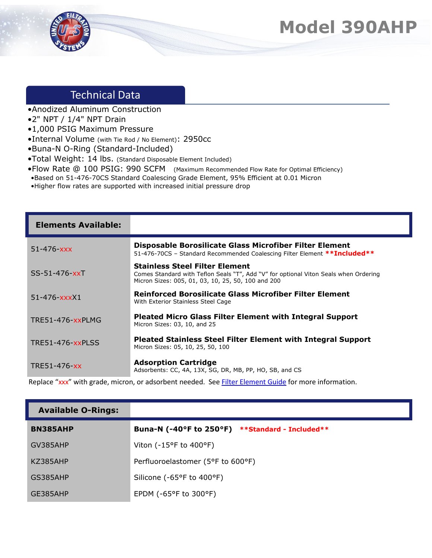## **Model 390AHP**



## Technical Data

- •Anodized Aluminum Construction
- •2" NPT / 1/4" NPT Drain
- •1,000 PSIG Maximum Pressure
- •Internal Volume (with Tie Rod / No Element): 2950cc
- •Buna-N O-Ring (Standard-Included)
- •Total Weight: 14 lbs. (Standard Disposable Element Included)
- •Flow Rate @ 100 PSIG: 990 SCFM (Maximum Recommended Flow Rate for Optimal Efficiency)
- •Based on 51-476-70CS Standard Coalescing Grade Element, 95% Efficient at 0.01 Micron
- •Higher flow rates are supported with increased initial pressure drop

| <b>Elements Available:</b> |                                                                                                                                                                                     |
|----------------------------|-------------------------------------------------------------------------------------------------------------------------------------------------------------------------------------|
| $51 - 476 - XXX$           | Disposable Borosilicate Glass Microfiber Filter Element<br>51-476-70CS - Standard Recommended Coalescing Filter Element **Included**                                                |
| SS-51-476-xxT              | <b>Stainless Steel Filter Element</b><br>Comes Standard with Teflon Seals "T", Add "V" for optional Viton Seals when Ordering<br>Micron Sizes: 005, 01, 03, 10, 25, 50, 100 and 200 |
| $51 - 476  xxxX1$          | Reinforced Borosilicate Glass Microfiber Filter Element<br>With Exterior Stainless Steel Cage                                                                                       |
| TRE51-476-xxPLMG           | <b>Pleated Micro Glass Filter Element with Integral Support</b><br>Micron Sizes: 03, 10, and 25                                                                                     |
| <b>TRE51-476-xxPLSS</b>    | <b>Pleated Stainless Steel Filter Element with Integral Support</b><br>Micron Sizes: 05, 10, 25, 50, 100                                                                            |
| TRE51-476-xx               | <b>Adsorption Cartridge</b><br>Adsorbents: CC, 4A, 13X, SG, DR, MB, PP, HO, SB, and CS                                                                                              |

Replace "xxx" with grade, micron, or adsorbent needed. See [Filter Element Guide](https://unitedfiltration.com/filter-element-guide/) for more information.

| <b>Available O-Rings:</b> |                                                 |
|---------------------------|-------------------------------------------------|
| <b>BN385AHP</b>           | Buna-N (-40°F to 250°F) **Standard - Included** |
| GV385AHP                  | Viton ( $-15^{\circ}$ F to $400^{\circ}$ F)     |
| KZ385AHP                  | Perfluoroelastomer (5°F to 600°F)               |
| GS385AHP                  | Silicone (-65°F to 400°F)                       |
| GE385AHP                  | EPDM ( $-65^{\circ}$ F to 300 $^{\circ}$ F)     |